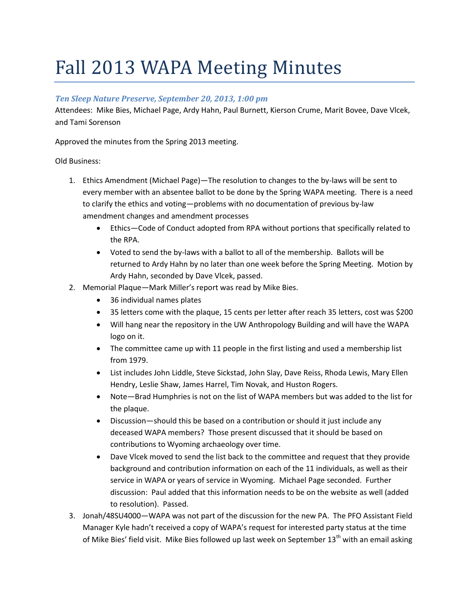# Fall 2013 WAPA Meeting Minutes

## *Ten Sleep Nature Preserve, September 20, 2013, 1:00 pm*

Attendees: Mike Bies, Michael Page, Ardy Hahn, Paul Burnett, Kierson Crume, Marit Bovee, Dave Vlcek, and Tami Sorenson

Approved the minutes from the Spring 2013 meeting.

## Old Business:

- 1. Ethics Amendment (Michael Page)—The resolution to changes to the by-laws will be sent to every member with an absentee ballot to be done by the Spring WAPA meeting. There is a need to clarify the ethics and voting—problems with no documentation of previous by-law amendment changes and amendment processes
	- Ethics—Code of Conduct adopted from RPA without portions that specifically related to the RPA.
	- Voted to send the by-laws with a ballot to all of the membership. Ballots will be returned to Ardy Hahn by no later than one week before the Spring Meeting. Motion by Ardy Hahn, seconded by Dave Vlcek, passed.
- 2. Memorial Plaque—Mark Miller's report was read by Mike Bies.
	- 36 individual names plates
	- 35 letters come with the plaque, 15 cents per letter after reach 35 letters, cost was \$200
	- Will hang near the repository in the UW Anthropology Building and will have the WAPA logo on it.
	- The committee came up with 11 people in the first listing and used a membership list from 1979.
	- List includes John Liddle, Steve Sickstad, John Slay, Dave Reiss, Rhoda Lewis, Mary Ellen Hendry, Leslie Shaw, James Harrel, Tim Novak, and Huston Rogers.
	- Note—Brad Humphries is not on the list of WAPA members but was added to the list for the plaque.
	- Discussion—should this be based on a contribution or should it just include any deceased WAPA members? Those present discussed that it should be based on contributions to Wyoming archaeology over time.
	- Dave Vlcek moved to send the list back to the committee and request that they provide background and contribution information on each of the 11 individuals, as well as their service in WAPA or years of service in Wyoming. Michael Page seconded. Further discussion: Paul added that this information needs to be on the website as well (added to resolution). Passed.
- 3. Jonah/48SU4000—WAPA was not part of the discussion for the new PA. The PFO Assistant Field Manager Kyle hadn't received a copy of WAPA's request for interested party status at the time of Mike Bies' field visit. Mike Bies followed up last week on September  $13<sup>th</sup>$  with an email asking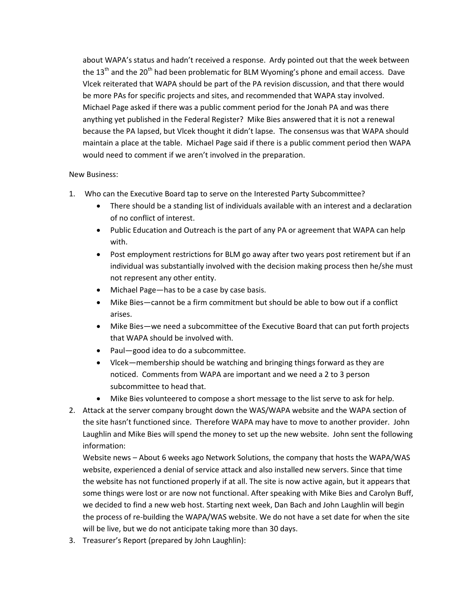about WAPA's status and hadn't received a response. Ardy pointed out that the week between the  $13<sup>th</sup>$  and the 20<sup>th</sup> had been problematic for BLM Wyoming's phone and email access. Dave Vlcek reiterated that WAPA should be part of the PA revision discussion, and that there would be more PAs for specific projects and sites, and recommended that WAPA stay involved. Michael Page asked if there was a public comment period for the Jonah PA and was there anything yet published in the Federal Register? Mike Bies answered that it is not a renewal because the PA lapsed, but Vlcek thought it didn't lapse. The consensus was that WAPA should maintain a place at the table. Michael Page said if there is a public comment period then WAPA would need to comment if we aren't involved in the preparation.

### New Business:

- 1. Who can the Executive Board tap to serve on the Interested Party Subcommittee?
	- There should be a standing list of individuals available with an interest and a declaration of no conflict of interest.
	- Public Education and Outreach is the part of any PA or agreement that WAPA can help with.
	- Post employment restrictions for BLM go away after two years post retirement but if an individual was substantially involved with the decision making process then he/she must not represent any other entity.
	- Michael Page—has to be a case by case basis.
	- Mike Bies—cannot be a firm commitment but should be able to bow out if a conflict arises.
	- Mike Bies—we need a subcommittee of the Executive Board that can put forth projects that WAPA should be involved with.
	- Paul-good idea to do a subcommittee.
	- Vlcek—membership should be watching and bringing things forward as they are noticed. Comments from WAPA are important and we need a 2 to 3 person subcommittee to head that.
	- Mike Bies volunteered to compose a short message to the list serve to ask for help.
- 2. Attack at the server company brought down the WAS/WAPA website and the WAPA section of the site hasn't functioned since. Therefore WAPA may have to move to another provider. John Laughlin and Mike Bies will spend the money to set up the new website. John sent the following information:

Website news – About 6 weeks ago Network Solutions, the company that hosts the WAPA/WAS website, experienced a denial of service attack and also installed new servers. Since that time the website has not functioned properly if at all. The site is now active again, but it appears that some things were lost or are now not functional. After speaking with Mike Bies and Carolyn Buff, we decided to find a new web host. Starting next week, Dan Bach and John Laughlin will begin the process of re-building the WAPA/WAS website. We do not have a set date for when the site will be live, but we do not anticipate taking more than 30 days.

3. Treasurer's Report (prepared by John Laughlin):